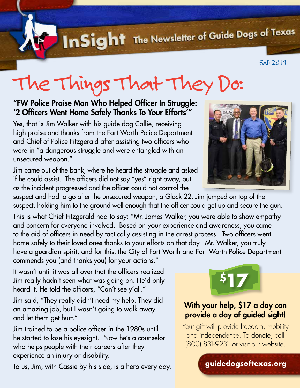InSight The Newsletter of Guide Dogs of Texas

Fall 2019

## The Things That They Do:

#### "FW Police Praise Man Who Helped Officer In Struggle: '2 Officers Went Home Safely Thanks To Your Efforts'"

Yes, that is Jim Walker with his guide dog Callie, receiving high praise and thanks from the Fort Worth Police Department and Chief of Police Fitzgerald after assisting two officers who were in "a dangerous struggle and were entangled with an unsecured weapon."

Jim came out of the bank, where he heard the struggle and asked if he could assist. The officers did not say "yes" right away, but as the incident progressed and the officer could not control the

suspect and had to go after the unsecured weapon, a Glock 22, Jim jumped on top of the suspect, holding him to the ground well enough that the officer could get up and secure the gun.

This is what Chief Fitzgerald had to say: "Mr. James Walker, you were able to show empathy and concern for everyone involved. Based on your experience and awareness, you came to the aid of officers in need by tactically assisting in the arrest process. Two officers went home safely to their loved ones thanks to your efforts on that day. Mr. Walker, you truly have a guardian spirit, and for this, the City of Fort Worth and Fort Worth Police Department commends you (and thanks you) for your actions."

It wasn't until it was all over that the officers realized Jim really hadn't seen what was going on. He'd only heard it. He told the officers, "Can't see y'all."

Jim said, "They really didn't need my help. They did an amazing job, but I wasn't going to walk away and let them get hurt."

Jim trained to be a police officer in the 1980s until he started to lose his eyesight. Now he's a counselor who helps people with their careers after they experience an injury or disability.

To us, Jim, with Cassie by his side, is a hero every day.





#### [With your help, \\$17 a day can](https://givedirect.org/donate/?cid=253)  provide a day of guided sight!

Your gift will provide freedom, mobility and independence. To donate, call (800) 831-9231 or visit our website.

**guidedogsoftexas.org**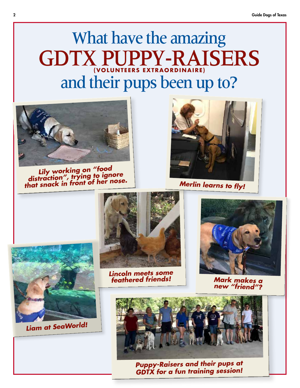### What have the amazing GDTX PUPPY-RAISERS **(VOLUNTEERS EXTRAORDINAIRE)**  and their pups been up to?



*Lily working on "food distraction", trying to ignore that snack in front of her nose.* 

*Liam at SeaWorld!* 



*Merlin learns to fly!* 



*Lincoln meets some feathered friends!* 



*Mark makes a new "friend"?* 



*Puppy-Raisers and their pups at GDTX for a fun training session!*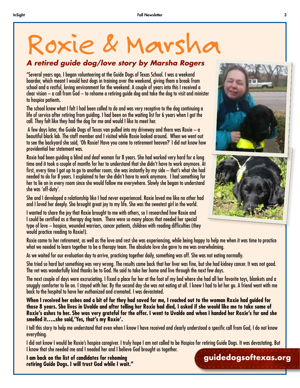# Roxie & Marsha � *A retired guide dog/love story by Marsha Rogers*

"Several years ago, I began volunteering at the Guide Dogs of Texas School. I was a weekend boarder, which meant I would host dogs in training over the weekend, giving them a break from school and a restful, loving environment for the weekend. A couple of years into this I received a clear vision – a call from God – to rehome a retiring guide dog and take the dog to visit and minister to hospice patients.

The school knew what I felt I had been called to do and was very receptive to the dog continuing a life of service after retiring from guiding. I had been on the waiting list for 6 years when I got the call. They felt like they had the dog for me and would I like to meet her.

 A few days later, the Guide Dogs of Texas van pulled into my driveway and there was Roxie – a beautiful black lab. The staff member and I visited while Roxie looked around. When we went out to see the backyard she said, 'Oh Roxie! Have you come to retirement heaven?' I did not know how providential her statement was.

Roxie had been guiding a blind and deaf woman for 8 years. She had worked very hard for a long time and it took a couple of months for her to understand that she didn't have to work anymore. At first, every time I got up to go to another room, she was instantly by my side – that's what she had needed to do for 8 years. I explained to her she didn't have to work anymore. I had something for her to lie on in every room since she would follow me everywhere. Slowly she began to understand she was 'off-duty'.

She and I developed a relationship like I had never experienced. Roxie loved me like no other had and I loved her deeply. She brought great joy to my life. She was the sweetest girl in the world.

I wanted to share the joy that Roxie brought to me with others, so I researched how Roxie and I could be certified as a therapy dog team. There were so many places that needed her special type of love – hospice, wounded warriors, cancer patients, children with reading difficulties (they would practice reading to Roxie!).

Roxie came to her retirement, as well as the love and rest she was experiencing, while being happy to help me when it was time to practice what we needed to learn together to be a therapy team. The absolute love she gave to me was overwhelming.

As we waited for our evaluation day to arrive, practicing together daily, something was off. She was not eating normally.

She tried so hard but something was very wrong. The results came back that her liver was fine, but she had kidney cancer. It was not good. The vet was wonderfully kind thanks be to God. He said to take her home and live through the next few days.

The next couple of days were excruciating. I fixed a place for her at the foot of my bed where she had all her favorite toys, blankets and a snuggly comforter to lie on. I stayed with her. By the second day she was not eating at all. I knew I had to let her go. A friend went with me back to the hospital to have her euthanized and cremated. I was devastated.

**When I received her ashes and a bit of fur they had saved for me, I reached out to the woman Roxie had guided for those 8 years. She lives in Uvalde and after telling her Roxie had died, I asked if she would like me to take some of Roxie's ashes to her. She was very grateful for the offer. I went to Uvalde and when I handed her Roxie's fur and she smelled it…..she said,'Yes, that's my Roxie'.** 

I tell this story to help me understand that even when I know I have received and clearly understood a specific call from God, I do not know everything.

I know that she needed me and I needed her and I believe God brought us together. I did not know I would be Roxie's hospice caregiver. I truly hope I am not called to be Hospice for retiring Guide Dogs. It was devastating. But

**I am back on the list of candidates for rehoming retiring Guide Dogs. I will trust God while I wait."** 





#### **[guidedogsoftexas.org](https://guidedogsoftexas.org)**